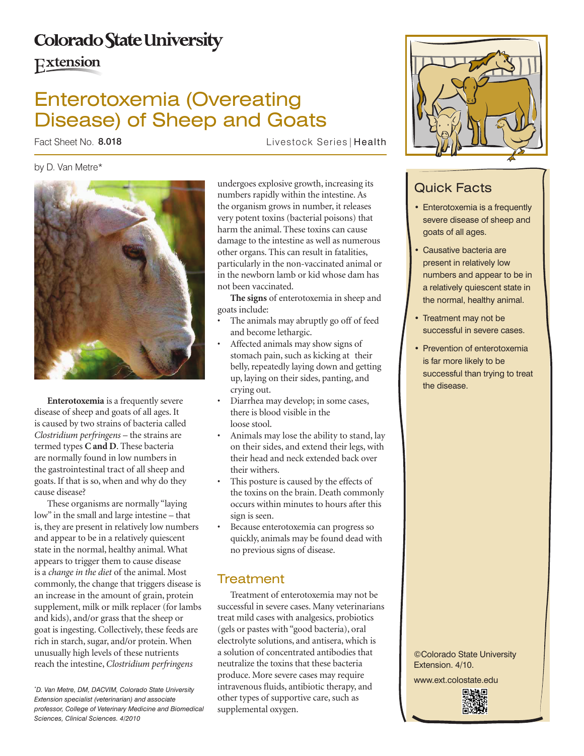## **Colorado State University**

**Extension** 

# Enterotoxemia (Overeating Disease) of Sheep and Goats

Fact Sheet No. 8.018

Livestock Series | Health

### by D. Van Metre\*



**Enterotoxemia** is a frequently severe disease of sheep and goats of all ages. It is caused by two strains of bacteria called *Clostridium perfringens* – the strains are termed types **C and D**. These bacteria are normally found in low numbers in the gastrointestinal tract of all sheep and goats. If that is so, when and why do they cause disease?

These organisms are normally "laying low" in the small and large intestine – that is, they are present in relatively low numbers and appear to be in a relatively quiescent state in the normal, healthy animal. What appears to trigger them to cause disease is a *change in the diet* of the animal. Most commonly, the change that triggers disease is an increase in the amount of grain, protein supplement, milk or milk replacer (for lambs and kids), and/or grass that the sheep or goat is ingesting. Collectively, these feeds are rich in starch, sugar, and/or protein. When unusually high levels of these nutrients reach the intestine, *Clostridium perfringens* 

*\* D. Van Metre, DM, DACVIM, Colorado State University Extension specialist (veterinarian) and associate professor, College of Veterinary Medicine and Biomedical Sciences, Clinical Sciences. 4/2010* 

undergoes explosive growth, increasing its numbers rapidly within the intestine. As the organism grows in number, it releases very potent toxins (bacterial poisons) that harm the animal. These toxins can cause damage to the intestine as well as numerous other organs. This can result in fatalities, particularly in the non-vaccinated animal or in the newborn lamb or kid whose dam has not been vaccinated.

**The signs** of enterotoxemia in sheep and goats include:

- The animals may abruptly go off of feed and become lethargic.
- Affected animals may show signs of stomach pain, such as kicking at their belly, repeatedly laying down and getting up, laying on their sides, panting, and crying out.
- Diarrhea may develop; in some cases, there is blood visible in the loose stool.
- Animals may lose the ability to stand, lay on their sides, and extend their legs, with their head and neck extended back over their withers.
- • This posture is caused by the effects of the toxins on the brain. Death commonly occurs within minutes to hours after this sign is seen.
- Because enterotoxemia can progress so quickly, animals may be found dead with no previous signs of disease.

### **Treatment**

Treatment of enterotoxemia may not be successful in severe cases. Many veterinarians treat mild cases with analgesics, probiotics (gels or pastes with "good bacteria), oral electrolyte solutions, and antisera, which is a solution of concentrated antibodies that neutralize the toxins that these bacteria produce. More severe cases may require intravenous fluids, antibiotic therapy, and other types of supportive care, such as supplemental oxygen.



### Quick Facts

- Enterotoxemia is a frequently severe disease of sheep and goats of all ages.
- Causative bacteria are present in relatively low numbers and appear to be in a relatively quiescent state in the normal, healthy animal.
- Treatment may not be successful in severe cases.
- Prevention of enterotoxemia is far more likely to be successful than trying to treat the disease.

©Colorado State University Extension. 4/10.

www.ext.colostate.edu